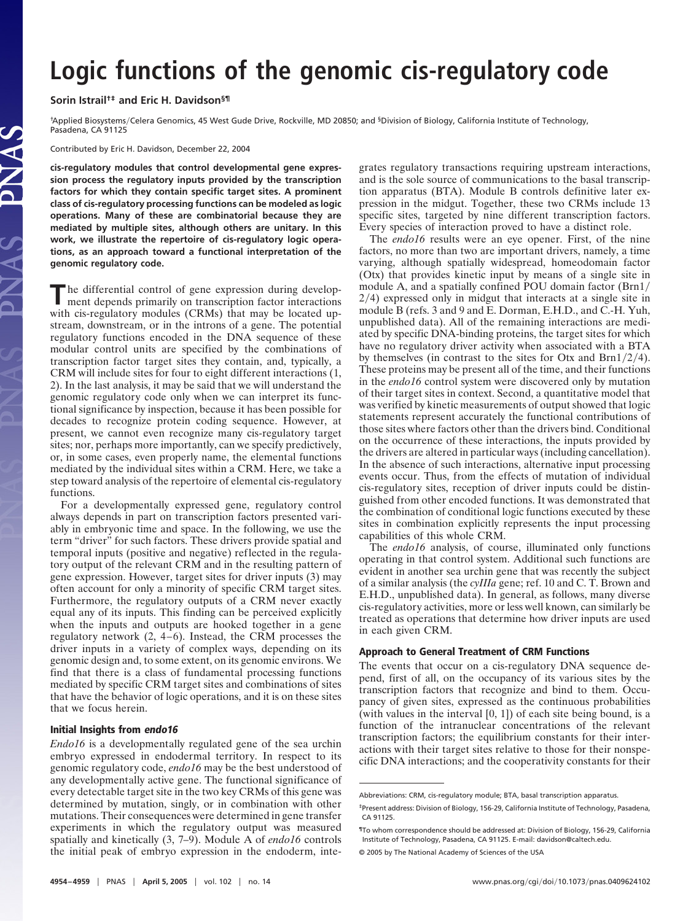# **Logic functions of the genomic cis-regulatory code**

# **Sorin Istrail†‡ and Eric H. Davidson§¶**

<sup>†</sup>Applied Biosystems/Celera Genomics, 45 West Gude Drive, Rockville, MD 20850; and <sup>§</sup>Division of Biology, California Institute of Technology, Pasadena, CA 91125

Contributed by Eric H. Davidson, December 22, 2004

**cis-regulatory modules that control developmental gene expression process the regulatory inputs provided by the transcription factors for which they contain specific target sites. A prominent class of cis-regulatory processing functions can be modeled as logic operations. Many of these are combinatorial because they are mediated by multiple sites, although others are unitary. In this work, we illustrate the repertoire of cis-regulatory logic operations, as an approach toward a functional interpretation of the genomic regulatory code.**

The differential control of gene expression during develop-<br>ment depends primarily on transcription factor interactions with cis-regulatory modules (CRMs) that may be located upstream, downstream, or in the introns of a gene. The potential regulatory functions encoded in the DNA sequence of these modular control units are specified by the combinations of transcription factor target sites they contain, and, typically, a CRM will include sites for four to eight different interactions (1, 2). In the last analysis, it may be said that we will understand the genomic regulatory code only when we can interpret its functional significance by inspection, because it has been possible for decades to recognize protein coding sequence. However, at present, we cannot even recognize many cis-regulatory target sites; nor, perhaps more importantly, can we specify predictively, or, in some cases, even properly name, the elemental functions mediated by the individual sites within a CRM. Here, we take a step toward analysis of the repertoire of elemental cis-regulatory functions.

For a developmentally expressed gene, regulatory control always depends in part on transcription factors presented variably in embryonic time and space. In the following, we use the term "driver" for such factors. These drivers provide spatial and temporal inputs (positive and negative) reflected in the regulatory output of the relevant CRM and in the resulting pattern of gene expression. However, target sites for driver inputs (3) may often account for only a minority of specific CRM target sites. Furthermore, the regulatory outputs of a CRM never exactly equal any of its inputs. This finding can be perceived explicitly when the inputs and outputs are hooked together in a gene regulatory network (2, 4–6). Instead, the CRM processes the driver inputs in a variety of complex ways, depending on its genomic design and, to some extent, on its genomic environs. We find that there is a class of fundamental processing functions mediated by specific CRM target sites and combinations of sites that have the behavior of logic operations, and it is on these sites that we focus herein.

#### **Initial Insights from endo16**

*Endo16* is a developmentally regulated gene of the sea urchin embryo expressed in endodermal territory. In respect to its genomic regulatory code, *endo16* may be the best understood of any developmentally active gene. The functional significance of every detectable target site in the two key CRMs of this gene was determined by mutation, singly, or in combination with other mutations. Their consequences were determined in gene transfer experiments in which the regulatory output was measured spatially and kinetically (3, 7–9). Module A of *endo16* controls the initial peak of embryo expression in the endoderm, integrates regulatory transactions requiring upstream interactions, and is the sole source of communications to the basal transcription apparatus (BTA). Module B controls definitive later expression in the midgut. Together, these two CRMs include 13 specific sites, targeted by nine different transcription factors. Every species of interaction proved to have a distinct role.

The *endo16* results were an eye opener. First, of the nine factors, no more than two are important drivers, namely, a time varying, although spatially widespread, homeodomain factor (Otx) that provides kinetic input by means of a single site in module A, and a spatially confined POU domain factor (Brn1 24) expressed only in midgut that interacts at a single site in module B (refs. 3 and 9 and E. Dorman, E.H.D., and C.-H. Yuh, unpublished data). All of the remaining interactions are mediated by specific DNA-binding proteins, the target sites for which have no regulatory driver activity when associated with a BTA by themselves (in contrast to the sites for Otx and Brn1/2/4). These proteins may be present all of the time, and their functions in the *endo16* control system were discovered only by mutation of their target sites in context. Second, a quantitative model that was verified by kinetic measurements of output showed that logic statements represent accurately the functional contributions of those sites where factors other than the drivers bind. Conditional on the occurrence of these interactions, the inputs provided by the drivers are altered in particular ways (including cancellation). In the absence of such interactions, alternative input processing events occur. Thus, from the effects of mutation of individual cis-regulatory sites, reception of driver inputs could be distinguished from other encoded functions. It was demonstrated that the combination of conditional logic functions executed by these sites in combination explicitly represents the input processing capabilities of this whole CRM.

The *endo16* analysis, of course, illuminated only functions operating in that control system. Additional such functions are evident in another sea urchin gene that was recently the subject of a similar analysis (the *cyIIIa* gene; ref. 10 and C. T. Brown and E.H.D., unpublished data). In general, as follows, many diverse cis-regulatory activities, more or less well known, can similarly be treated as operations that determine how driver inputs are used in each given CRM.

#### **Approach to General Treatment of CRM Functions**

The events that occur on a cis-regulatory DNA sequence depend, first of all, on the occupancy of its various sites by the transcription factors that recognize and bind to them. Occupancy of given sites, expressed as the continuous probabilities (with values in the interval [0, 1]) of each site being bound, is a function of the intranuclear concentrations of the relevant transcription factors; the equilibrium constants for their interactions with their target sites relative to those for their nonspecific DNA interactions; and the cooperativity constants for their

Abbreviations: CRM, cis-regulatory module; BTA, basal transcription apparatus.

<sup>‡</sup>Present address: Division of Biology, 156-29, California Institute of Technology, Pasadena, CA 91125.

<sup>¶</sup>To whom correspondence should be addressed at: Division of Biology, 156-29, California Institute of Technology, Pasadena, CA 91125. E-mail: davidson@caltech.edu. © 2005 by The National Academy of Sciences of the USA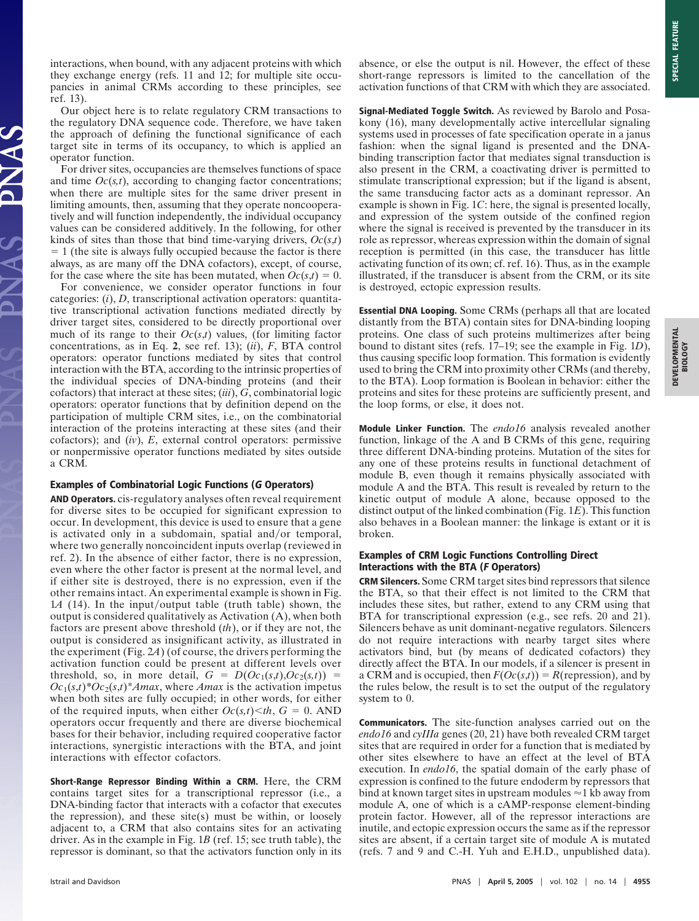interactions, when bound, with any adjacent proteins with which they exchange energy (refs. 11 and 12; for multiple site occupancies in animal CRMs according to these principles, see ref. 13).

Our object here is to relate regulatory CRM transactions to the regulatory DNA sequence code. Therefore, we have taken the approach of defining the functional significance of each target site in terms of its occupancy, to which is applied an operator function.

For driver sites, occupancies are themselves functions of space and time *Oc*(*s,t*), according to changing factor concentrations; when there are multiple sites for the same driver present in limiting amounts, then, assuming that they operate noncooperatively and will function independently, the individual occupancy values can be considered additively. In the following, for other kinds of sites than those that bind time-varying drivers,  $Oc(s,t)$  $= 1$  (the site is always fully occupied because the factor is there always, as are many off the DNA cofactors), except, of course, for the case where the site has been mutated, when  $Oc(s,t) = 0$ .

For convenience, we consider operator functions in four categories: (*i*), *D*, transcriptional activation operators: quantitative transcriptional activation functions mediated directly by driver target sites, considered to be directly proportional over much of its range to their  $Oc(s,t)$  values, (for limiting factor concentrations, as in Eq. **2**, see ref. 13); (*ii*), *F*, BTA control operators: operator functions mediated by sites that control interaction with the BTA, according to the intrinsic properties of the individual species of DNA-binding proteins (and their cofactors) that interact at these sites; (*iii*), *G*, combinatorial logic operators: operator functions that by definition depend on the participation of multiple CRM sites, i.e., on the combinatorial interaction of the proteins interacting at these sites (and their cofactors); and (*iv*), *E*, external control operators: permissive or nonpermissive operator functions mediated by sites outside a CRM.

#### **Examples of Combinatorial Logic Functions (G Operators)**

**AND Operators.** cis-regulatory analyses often reveal requirement for diverse sites to be occupied for significant expression to occur. In development, this device is used to ensure that a gene is activated only in a subdomain, spatial and/or temporal, where two generally noncoincident inputs overlap (reviewed in ref. 2). In the absence of either factor, there is no expression, even where the other factor is present at the normal level, and if either site is destroyed, there is no expression, even if the other remains intact. An experimental example is shown in Fig. 1*A* (14). In the input/output table (truth table) shown, the output is considered qualitatively as Activation (A), when both factors are present above threshold (*th*), or if they are not, the output is considered as insignificant activity, as illustrated in the experiment (Fig. 2*A*) (of course, the drivers performing the activation function could be present at different levels over threshold, so, in more detail,  $G = D(Oc_1(s,t), Oc_2(s,t))$  =  $Oc_1(s,t)$ <sup>\*</sup> $Oc_2(s,t)$ <sup>\*</sup> $Amax$ , where *Amax* is the activation impetus when both sites are fully occupied; in other words, for either of the required inputs, when either  $Oc(s,t) \leq th$ ,  $G = 0$ . AND operators occur frequently and there are diverse biochemical bases for their behavior, including required cooperative factor interactions, synergistic interactions with the BTA, and joint interactions with effector cofactors.

**Short-Range Repressor Binding Within a CRM.** Here, the CRM contains target sites for a transcriptional repressor (i.e., a DNA-binding factor that interacts with a cofactor that executes the repression), and these site(s) must be within, or loosely adjacent to, a CRM that also contains sites for an activating driver. As in the example in Fig. 1*B* (ref. 15; see truth table), the repressor is dominant, so that the activators function only in its absence, or else the output is nil. However, the effect of these short-range repressors is limited to the cancellation of the activation functions of that CRM with which they are associated.

**Signal-Mediated Toggle Switch.** As reviewed by Barolo and Posakony (16), many developmentally active intercellular signaling systems used in processes of fate specification operate in a janus fashion: when the signal ligand is presented and the DNAbinding transcription factor that mediates signal transduction is also present in the CRM, a coactivating driver is permitted to stimulate transcriptional expression; but if the ligand is absent, the same transducing factor acts as a dominant repressor. An example is shown in Fig. 1*C*: here, the signal is presented locally, and expression of the system outside of the confined region where the signal is received is prevented by the transducer in its role as repressor, whereas expression within the domain of signal reception is permitted (in this case, the transducer has little activating function of its own; cf. ref. 16). Thus, as in the example illustrated, if the transducer is absent from the CRM, or its site is destroyed, ectopic expression results.

**Essential DNA Looping.** Some CRMs (perhaps all that are located distantly from the BTA) contain sites for DNA-binding looping proteins. One class of such proteins multimerizes after being bound to distant sites (refs. 17–19; see the example in Fig. 1*D*), thus causing specific loop formation. This formation is evidently used to bring the CRM into proximity other CRMs (and thereby, to the BTA). Loop formation is Boolean in behavior: either the proteins and sites for these proteins are sufficiently present, and the loop forms, or else, it does not.

**Module Linker Function.** The *endo16* analysis revealed another function, linkage of the A and B CRMs of this gene, requiring three different DNA-binding proteins. Mutation of the sites for any one of these proteins results in functional detachment of module B, even though it remains physically associated with module A and the BTA. This result is revealed by return to the kinetic output of module A alone, because opposed to the distinct output of the linked combination (Fig. 1*E*). This function also behaves in a Boolean manner: the linkage is extant or it is broken.

## **Examples of CRM Logic Functions Controlling Direct Interactions with the BTA (<sup>F</sup> Operators)**

**CRM Silencers.** Some CRM target sites bind repressors that silence the BTA, so that their effect is not limited to the CRM that includes these sites, but rather, extend to any CRM using that BTA for transcriptional expression (e.g., see refs. 20 and 21). Silencers behave as unit dominant-negative regulators. Silencers do not require interactions with nearby target sites where activators bind, but (by means of dedicated cofactors) they directly affect the BTA. In our models, if a silencer is present in a CRM and is occupied, then  $F(Oc(s,t)) = R$ (repression), and by the rules below, the result is to set the output of the regulatory system to 0.

**Communicators.** The site-function analyses carried out on the *endo16* and *cyIIIa* genes (20, 21) have both revealed CRM target sites that are required in order for a function that is mediated by other sites elsewhere to have an effect at the level of BTA execution. In *endo16*, the spatial domain of the early phase of expression is confined to the future endoderm by repressors that bind at known target sites in upstream modules  $\approx$  1 kb away from module A, one of which is a cAMP-response element-binding protein factor. However, all of the repressor interactions are inutile, and ectopic expression occurs the same as if the repressor sites are absent, if a certain target site of module A is mutated (refs. 7 and 9 and C.-H. Yuh and E.H.D., unpublished data).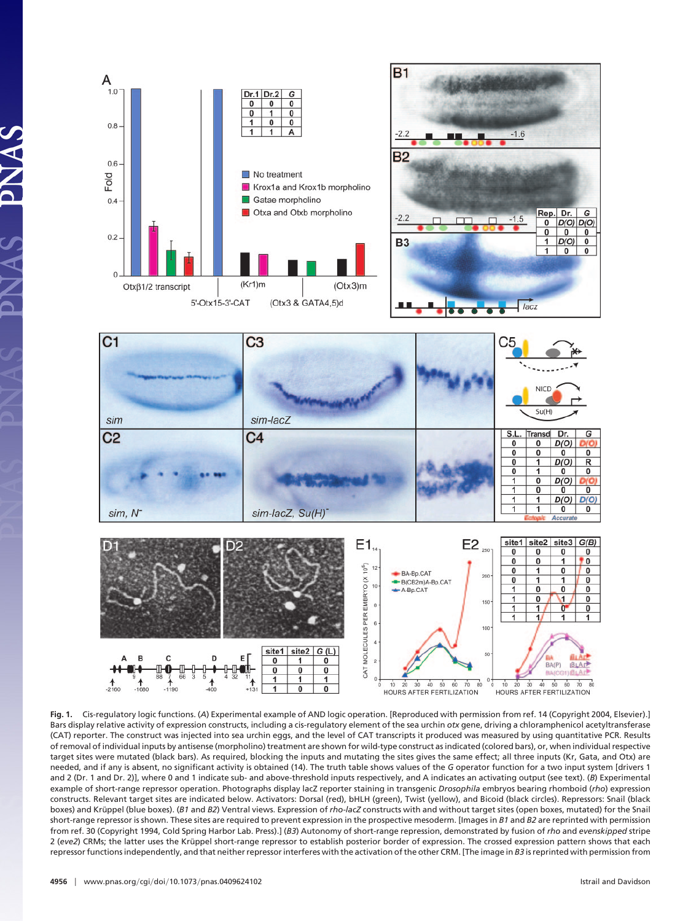

**Fig. 1.** Cis-regulatory logic functions. (*A*) Experimental example of AND logic operation. [Reproduced with permission from ref. 14 (Copyright 2004, Elsevier).] Bars display relative activity of expression constructs, including a cis-regulatory element of the sea urchin *otx* gene, driving a chloramphenicol acetyltransferase (CAT) reporter. The construct was injected into sea urchin eggs, and the level of CAT transcripts it produced was measured by using quantitative PCR. Results of removal of individual inputs by antisense (morpholino) treatment are shown for wild-type construct as indicated (colored bars), or, when individual respective target sites were mutated (black bars). As required, blocking the inputs and mutating the sites gives the same effect; all three inputs (Kr, Gata, and Otx) are needed, and if any is absent, no significant activity is obtained (14). The truth table shows values of the *G* operator function for a two input system [drivers 1 and 2 (Dr. 1 and Dr. 2)], where 0 and 1 indicate sub- and above-threshold inputs respectively, and A indicates an activating output (see text). (*B*) Experimental example of short-range repressor operation. Photographs display lacZ reporter staining in transgenic *Drosophila* embryos bearing rhomboid (*rho*) expression constructs. Relevant target sites are indicated below. Activators: Dorsal (red), bHLH (green), Twist (yellow), and Bicoid (black circles). Repressors: Snail (black boxes) and Krüppel (blue boxes). (*B1* and *B2*) Ventral views. Expression of *rho-lacZ* constructs with and without target sites (open boxes, mutated) for the Snail short-range repressor is shown. These sites are required to prevent expression in the prospective mesoderm. [Images in *B1* and *B2* are reprinted with permission from ref. 30 (Copyright 1994, Cold Spring Harbor Lab. Press).] (*B3*) Autonomy of short-range repression, demonstrated by fusion of *rho* and *evenskipped* stripe 2 (eve2) CRMs; the latter uses the Krüppel short-range repressor to establish posterior border of expression. The crossed expression pattern shows that each repressor functions independently, and that neither repressor interferes with the activation of the other CRM. [The image in *B3* is reprinted with permission from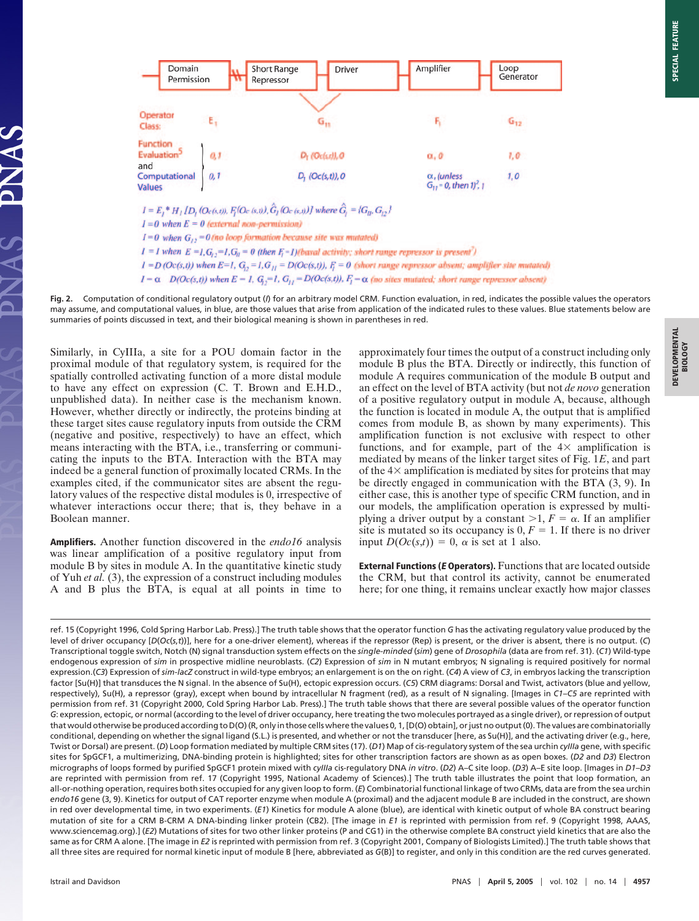

**Fig. 2.** Computation of conditional regulatory output (*I*) for an arbitrary model CRM. Function evaluation, in red, indicates the possible values the operators may assume, and computational values, in blue, are those values that arise from application of the indicated rules to these values. Blue statements below are summaries of points discussed in text, and their biological meaning is shown in parentheses in red.

Similarly, in CyIIIa, a site for a POU domain factor in the proximal module of that regulatory system, is required for the spatially controlled activating function of a more distal module to have any effect on expression (C. T. Brown and E.H.D., unpublished data). In neither case is the mechanism known. However, whether directly or indirectly, the proteins binding at these target sites cause regulatory inputs from outside the CRM (negative and positive, respectively) to have an effect, which means interacting with the BTA, i.e., transferring or communicating the inputs to the BTA. Interaction with the BTA may indeed be a general function of proximally located CRMs. In the examples cited, if the communicator sites are absent the regulatory values of the respective distal modules is 0, irrespective of whatever interactions occur there; that is, they behave in a Boolean manner.

**Amplifiers.** Another function discovered in the *endo16* analysis was linear amplification of a positive regulatory input from module B by sites in module A. In the quantitative kinetic study of Yuh *et al.* (3), the expression of a construct including modules A and B plus the BTA, is equal at all points in time to approximately four times the output of a construct including only module B plus the BTA. Directly or indirectly, this function of module A requires communication of the module B output and an effect on the level of BTA activity (but not *de novo* generation of a positive regulatory output in module A, because, although the function is located in module A, the output that is amplified comes from module B, as shown by many experiments). This amplification function is not exclusive with respect to other functions, and for example, part of the  $4\times$  amplification is mediated by means of the linker target sites of Fig. 1*E*, and part of the  $4\times$  amplification is mediated by sites for proteins that may be directly engaged in communication with the BTA (3, 9). In either case, this is another type of specific CRM function, and in our models, the amplification operation is expressed by multiplying a driver output by a constant  $>1$ ,  $F = \alpha$ . If an amplifier site is mutated so its occupancy is  $0, F = 1$ . If there is no driver input  $D(Oc(s,t)) = 0$ ,  $\alpha$  is set at 1 also.

**External Functions (<sup>E</sup> Operators).** Functions that are located outside the CRM, but that control its activity, cannot be enumerated here; for one thing, it remains unclear exactly how major classes

ref. 15 (Copyright 1996, Cold Spring Harbor Lab. Press).] The truth table shows that the operator function *G* has the activating regulatory value produced by the level of driver occupancy [*D*(*Oc*(*s*,*t*))], here for a one-driver element}, whereas if the repressor (Rep) is present, or the driver is absent, there is no output. (*C*) Transcriptional toggle switch, Notch (N) signal transduction system effects on the *single-minded* (*sim*) gene of *Drosophila* (data are from ref. 31). (*C1*) Wild-type endogenous expression of *sim* in prospective midline neuroblasts. (*C2*) Expression of *sim* in N mutant embryos; N signaling is required positively for normal expression.(*C3*) Expression of *sim-lacZ* construct in wild-type embryos; an enlargement is on the on right. (*C4*) A view of *C3*, in embryos lacking the transcription factor [Su(H)] that transduces the N signal. In the absence of Su(H), ectopic expression occurs. (*C5*) CRM diagrams: Dorsal and Twist, activators (blue and yellow, respectively), Su(H), a repressor (gray), except when bound by intracellular N fragment (red), as a result of N signaling. [Images in *C1*–*C5* are reprinted with permission from ref. 31 (Copyright 2000, Cold Spring Harbor Lab. Press).] The truth table shows that there are several possible values of the operator function *G*: expression, ectopic, or normal (according to the level of driver occupancy, here treating the two molecules portrayed as a single driver), or repression of output that would otherwise be produced according to D(O) (R, only in those cells where the values 0, 1, [D(O) obtain], or just no output (0). The values are combinatorially conditional, depending on whether the signal ligand (S.L.) is presented, and whether or not the transducer [here, as Su(H)], and the activating driver (e.g., here, Twist or Dorsal) are present. (*D*) Loop formation mediated by multiple CRM sites (17). (*D1*) Map of cis-regulatory system of the sea urchin *cyIIIa* gene, with specific sites for SpGCF1, a multimerizing, DNA-binding protein is highlighted; sites for other transcription factors are shown as as open boxes. (*D2* and *D3*) Electron micrographs of loops formed by purified SpGCF1 protein mixed with *cyIIIa* cis-regulatory DNA *in vitro*. (*D2*) A–C site loop. (*D3*) A–E site loop. [Images in *D1*–*D3* are reprinted with permission from ref. 17 (Copyright 1995, National Academy of Sciences).] The truth table illustrates the point that loop formation, an all-or-nothing operation, requires both sites occupied for any given loop to form. (*E*) Combinatorial functional linkage of two CRMs, data are from the sea urchin *endo16* gene (3, 9). Kinetics for output of CAT reporter enzyme when module A (proximal) and the adjacent module B are included in the construct, are shown in red over developmental time, in two experiments. (*E1*) Kinetics for module A alone (blue), are identical with kinetic output of whole BA construct bearing mutation of site for a CRM B-CRM A DNA-binding linker protein (CB2). [The image in *E1* is reprinted with permission from ref. 9 (Copyright 1998, AAAS, www.sciencemag.org).] (*E2*) Mutations of sites for two other linker proteins (P and CG1) in the otherwise complete BA construct yield kinetics that are also the same as for CRM A alone. [The image in *E2* is reprinted with permission from ref. 3 (Copyright 2001, Company of Biologists Limited).] The truth table shows that all three sites are required for normal kinetic input of module B [here, abbreviated as *G*(B)] to register, and only in this condition are the red curves generated.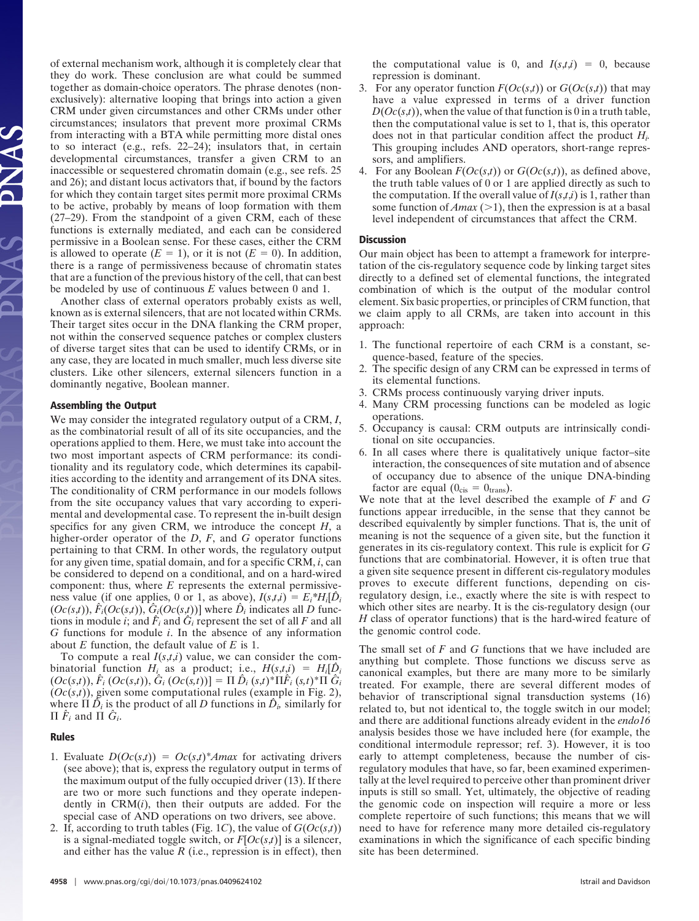of external mechanism work, although it is completely clear that they do work. These conclusion are what could be summed together as domain-choice operators. The phrase denotes (nonexclusively): alternative looping that brings into action a given CRM under given circumstances and other CRMs under other circumstances; insulators that prevent more proximal CRMs from interacting with a BTA while permitting more distal ones to so interact (e.g., refs. 22–24); insulators that, in certain developmental circumstances, transfer a given CRM to an inaccessible or sequestered chromatin domain (e.g., see refs. 25 and 26); and distant locus activators that, if bound by the factors for which they contain target sites permit more proximal CRMs to be active, probably by means of loop formation with them (27–29). From the standpoint of a given CRM, each of these functions is externally mediated, and each can be considered permissive in a Boolean sense. For these cases, either the CRM is allowed to operate  $(E = 1)$ , or it is not  $(E = 0)$ . In addition, there is a range of permissiveness because of chromatin states that are a function of the previous history of the cell, that can best be modeled by use of continuous *E* values between 0 and 1.

Another class of external operators probably exists as well, known as is external silencers, that are not located within CRMs. Their target sites occur in the DNA flanking the CRM proper, not within the conserved sequence patches or complex clusters of diverse target sites that can be used to identify CRMs, or in any case, they are located in much smaller, much less diverse site clusters. Like other silencers, external silencers function in a dominantly negative, Boolean manner.

## **Assembling the Output**

We may consider the integrated regulatory output of a CRM, *I*, as the combinatorial result of all of its site occupancies, and the operations applied to them. Here, we must take into account the two most important aspects of CRM performance: its conditionality and its regulatory code, which determines its capabilities according to the identity and arrangement of its DNA sites. The conditionality of CRM performance in our models follows from the site occupancy values that vary according to experimental and developmental case. To represent the in-built design specifics for any given CRM, we introduce the concept *H*, a higher-order operator of the *D*, *F*, and *G* operator functions pertaining to that CRM. In other words, the regulatory output for any given time, spatial domain, and for a specific CRM, *i*, can be considered to depend on a conditional, and on a hard-wired component: thus, where *E* represents the external permissiveness value (if one applies, 0 or 1, as above),  $I(s,t,i) = E_i^*H_i[D_i]$  $(Oc(s,t))$ ,  $\hat{F}_i(Oc(s,t))$ ,  $\hat{G}_i(Oc(s,t))$ ] where  $\hat{D}_i$  indicates all *D* functions in module *i*; and  $\hat{F}_i$  and  $\hat{G}_i$  represent the set of all F and all *G* functions for module *i*. In the absence of any information about *E* function, the default value of *E* is 1.

To compute a real  $I(s,t,i)$  value, we can consider the combinatorial function  $H_i$  as a product; i.e.,  $H(s,t,i) = H_i[\hat{D}_i]$  $(OC(s,t)), \hat{F}_i (OC(s,t)), \hat{G}_i (OC(s,t))] = \Pi \hat{D}_i (s,t)^* \Pi \hat{F}_i (s,t)^* \Pi \hat{G}_i$  $(Oc(s,t))$ , given some computational rules (example in Fig. 2), where  $\Pi \hat{D}_i$  is the product of all *D* functions in  $\hat{D}_i$  similarly for  $\Pi$   $\hat{F}_i$  and  $\Pi$   $\hat{G}_i$ .

#### **Rules**

- 1. Evaluate  $D(Oc(s,t)) = Oc(s,t)^* A max$  for activating drivers (see above); that is, express the regulatory output in terms of the maximum output of the fully occupied driver (13). If there are two or more such functions and they operate independently in CRM(*i*), then their outputs are added. For the special case of AND operations on two drivers, see above.
- 2. If, according to truth tables (Fig. 1*C*), the value of  $G(Oc(s,t))$ is a signal-mediated toggle switch, or  $F[Oc(s,t)]$  is a silencer, and either has the value *R* (i.e., repression is in effect), then

the computational value is 0, and  $I(s,t,i) = 0$ , because repression is dominant.

- 3. For any operator function  $F(0c(s,t))$  or  $G(0c(s,t))$  that may have a value expressed in terms of a driver function  $D(Oc(s,t))$ , when the value of that function is 0 in a truth table, then the computational value is set to 1, that is, this operator does not in that particular condition affect the product *Hi.* This grouping includes AND operators, short-range repressors, and amplifiers.
- 4. For any Boolean  $F(Oc(s,t))$  or  $G(Oc(s,t))$ , as defined above, the truth table values of 0 or 1 are applied directly as such to the computation. If the overall value of  $I(s,t,i)$  is 1, rather than some function of  $Amax$  ( $>1$ ), then the expression is at a basal level independent of circumstances that affect the CRM.

#### **Discussion**

Our main object has been to attempt a framework for interpretation of the cis-regulatory sequence code by linking target sites directly to a defined set of elemental functions, the integrated combination of which is the output of the modular control element. Six basic properties, or principles of CRM function, that we claim apply to all CRMs, are taken into account in this approach:

- 1. The functional repertoire of each CRM is a constant, sequence-based, feature of the species.
- 2. The specific design of any CRM can be expressed in terms of its elemental functions.
- 3. CRMs process continuously varying driver inputs.
- 4. Many CRM processing functions can be modeled as logic operations.
- 5. Occupancy is causal: CRM outputs are intrinsically conditional on site occupancies.
- 6. In all cases where there is qualitatively unique factor–site interaction, the consequences of site mutation and of absence of occupancy due to absence of the unique DNA-binding factor are equal ( $0_{\text{cis}} = 0_{\text{trans}}$ ).

We note that at the level described the example of *F* and *G* functions appear irreducible, in the sense that they cannot be described equivalently by simpler functions. That is, the unit of meaning is not the sequence of a given site, but the function it generates in its cis-regulatory context. This rule is explicit for *G* functions that are combinatorial. However, it is often true that a given site sequence present in different cis-regulatory modules proves to execute different functions, depending on cisregulatory design, i.e., exactly where the site is with respect to which other sites are nearby. It is the cis-regulatory design (our *H* class of operator functions) that is the hard-wired feature of the genomic control code.

The small set of *F* and *G* functions that we have included are anything but complete. Those functions we discuss serve as canonical examples, but there are many more to be similarly treated. For example, there are several different modes of behavior of transcriptional signal transduction systems (16) related to, but not identical to, the toggle switch in our model; and there are additional functions already evident in the *endo16* analysis besides those we have included here (for example, the conditional intermodule repressor; ref. 3). However, it is too early to attempt completeness, because the number of cisregulatory modules that have, so far, been examined experimentally at the level required to perceive other than prominent driver inputs is still so small. Yet, ultimately, the objective of reading the genomic code on inspection will require a more or less complete repertoire of such functions; this means that we will need to have for reference many more detailed cis-regulatory examinations in which the significance of each specific binding site has been determined.